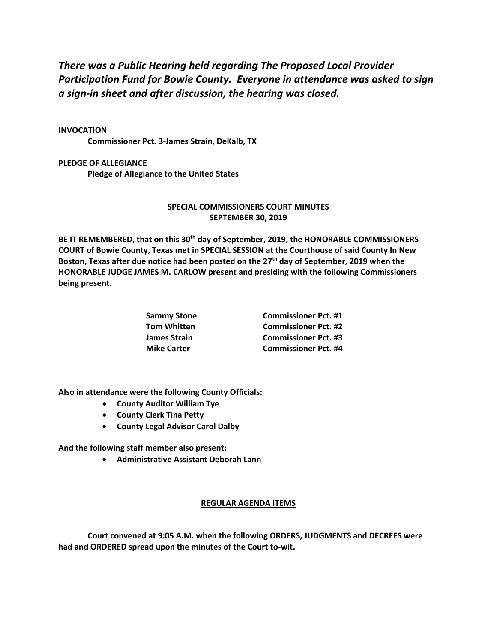*There was a Public Hearing held regarding The Proposed Local Provider Participation Fund for Bowie County. Everyone in attendance was asked to sign a sign-in sheet and after discussion, the hearing was closed.*

## **INVOCATION**

**Commissioner Pct. 3-James Strain, DeKalb, TX**

**PLEDGE OF ALLEGIANCE Pledge of Allegiance to the United States**

## **SPECIAL COMMISSIONERS COURT MINUTES SEPTEMBER 30, 2019**

**BE IT REMEMBERED, that on this 30th day of September, 2019, the HONORABLE COMMISSIONERS COURT of Bowie County, Texas met in SPECIAL SESSION at the Courthouse of said County In New Boston, Texas after due notice had been posted on the 27th day of September, 2019 when the HONORABLE JUDGE JAMES M. CARLOW present and presiding with the following Commissioners being present.**

| Sammy Stone<br>Tom Whitten | <b>Commissioner Pct. #1</b> |
|----------------------------|-----------------------------|
|                            | <b>Commissioner Pct. #2</b> |
| James Strain               | <b>Commissioner Pct. #3</b> |
| <b>Mike Carter</b>         | <b>Commissioner Pct. #4</b> |
|                            |                             |

**Also in attendance were the following County Officials:**

- **County Auditor William Tye**
- **County Clerk Tina Petty**
- **County Legal Advisor Carol Dalby**

**And the following staff member also present:**

• **Administrative Assistant Deborah Lann**

## **REGULAR AGENDA ITEMS**

**Court convened at 9:05 A.M. when the following ORDERS, JUDGMENTS and DECREES were had and ORDERED spread upon the minutes of the Court to-wit.**